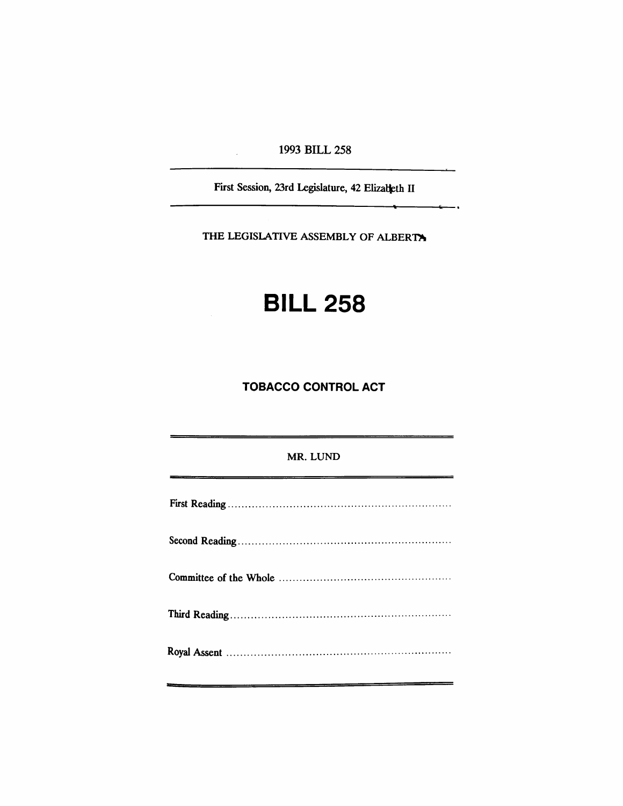1993 BILL 258

First Session, 23rd Legislature, 42 Elizabeth II

,

THE LEGISLATIVE ASSEMBLY OF ALBERTY

## **BILL** 258

TOBACCO CONTROL ACT

## MR. LUND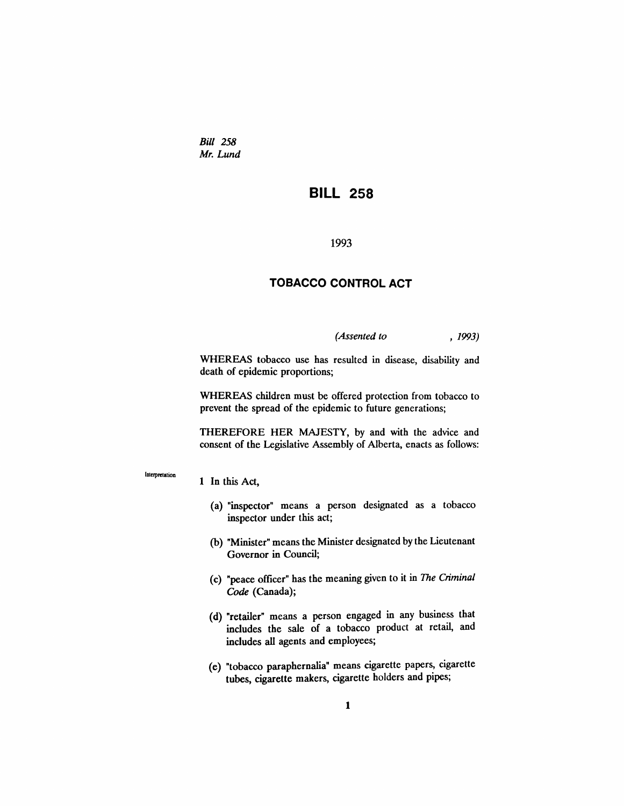*Bill 258 Mr. Lund*

## **BILL 258**

1993

## **TOBACCO CONTROL ACT**

*(Assented to* , 1993)

WHEREAS tobacco use has resulted in disease, disability and death of epidemic proportions;

WHEREAS children must be offered protection from tobacco to prevent the spread of the epidemic to future generations;

THEREFORE HER MAJESTY, by and with the advice and consent of the Legislative Assembly of Alberta, enacts as follows:

Interpretation

1 In this Act,

- (a) "inspector" means a person designated as a tobacco inspector under this act;
- (b) "Minister" means the Minister designated by the Lieutenant Governor in Council;
- (c) "peace officer" has the meaning given to it in *The Criminal Code* (Canada);
- (d) "retailer" means a person engaged in any business that includes the sale of a tobacco product at retail, and includes all agents and employees;
- (e) "tobacco paraphernalia" means cigarette papers, cigarette tubes, cigarette makers, cigarette holders and pipes;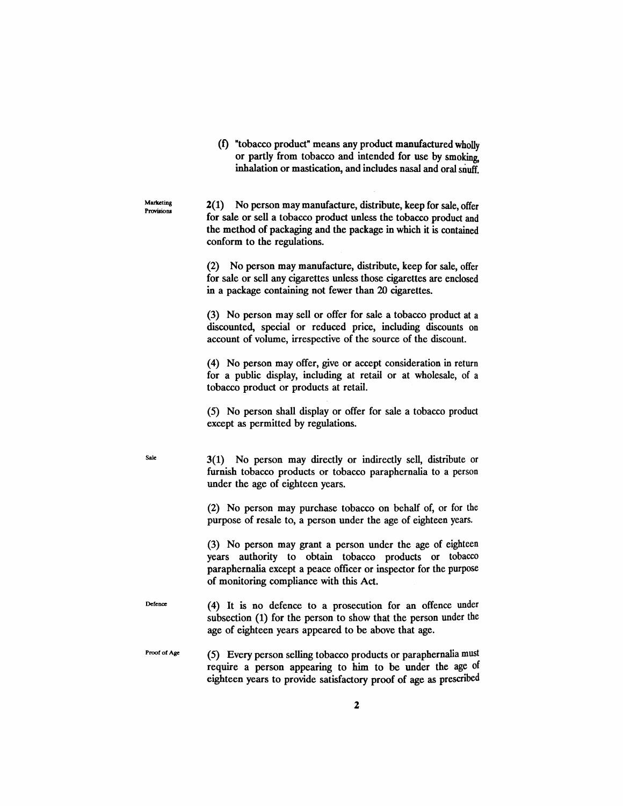(t) "tobacco product" means any product manufactured wholly or partly from tobacco and intended for use by smoking, inhalation or mastication, and includes nasal and oral snuff.

2(1) No person may manufacture, distribute, keep for sale, offer for sale or sell a tobacco product unless the tobacco product and the method of packaging and the package in which it is contained conform to the regulations.

Marketing Provisions

Sale

(2) No person may manufacture, distribute, keep for sale, offer for sale or sell any cigarettes unless those cigarettes are enclosed in a package containing not fewer than 20 cigarettes.

(3) No person may sell or offer for sale a tobacco product at a discounted, special or reduced price, including discounts on account of volume, irrespective of the source of the discount.

(4) No person may offer, give or accept consideration in return for a public display, including at retail or at wholesale, of a tobacco product or products at retail.

(5) No person shall display or offer for sale a tobacco product except as permitted by regulations.

3(1) No person may directly or indirectly sell, distribute or furnish tobacco products or tobacco paraphernalia to a person under the age of eighteen years.

(2) No person may purchase tobacco on behalf of, or for the purpose of resale to, a person under the age of eighteen years.

(3) No person may grant a person under the age of eighteen years authority to obtain tobacco products or tobacco paraphernalia except a peace officer or inspector for the purpose of monitoring compliance with this Act.

Defence (4) It is no defence to a prosecution for an offence under subsection (1) for the person to show that the person under the age of eighteen years appeared to be above that age.

Proof of Age (5) Every person selling tobacco products or paraphernalia must require a person appearing to him to be under the age of eighteen years to provide satisfactory proof of age as prescribed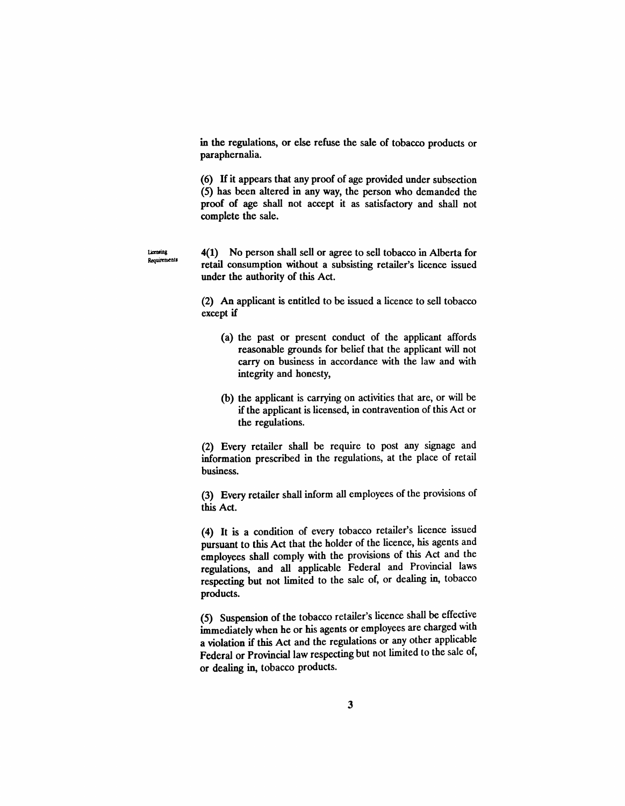in the regulations, or else refuse the sale of tobacco products or paraphernalia.

(6) H it appears that any proof of age provided under subsection (5) has been altered in any way, the person who demanded the proof of age shall not accept it as satisfactory and shall not complete the sale.

4(1) No person shall sell or agree to sell tobacco in Alberta for retail consumption without a subsisting retailer's licence issued under the authority of this Act.

Licensing Requirements

> (2) An applicant is entitled to be issued a licence to sell tobacco except if

- (a) the past or present conduct of the applicant affords reasonable grounds for belief that the applicant will not carry on business in accordance with the law and with integrity and honesty,
- (b) the applicant is carrying on activities that are, or will be if the applicant is licensed, in contravention of this Act or the regulations.

(2) Every retailer shall be require to post any signage and information prescribed in the regulations, at the place of retail business.

(3) Every retailer shall inform all employees of the provisions of this Act.

(4) It is a condition of every tobacco retailer's licence issued pursuant to this Act that the holder of the licence, his agents and employees shall comply with the provisions of this Act and the regulations, and all applicable Federal and Provincial laws respecting but not limited to the sale of, or dealing in, tobacco products.

(5) Suspension of the tobacco retailer's licence shall be effective immediately when he or his agents or employees are charged with a violation if this Act and the regulations or any other applicable Federal or Provincial law respecting but not limited to the sale of, or dealing in, tobacco products.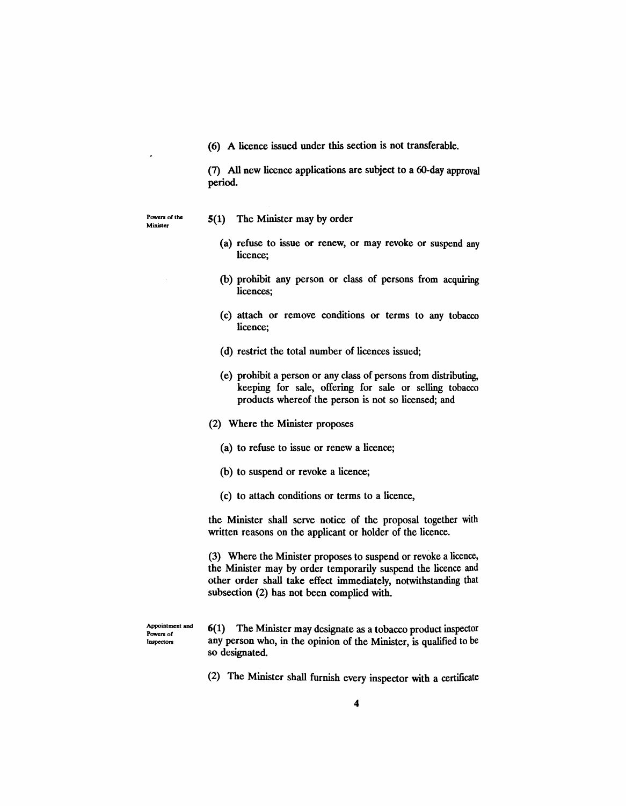(6) A licence issued under this section is not transferable.

(7) All new licence applications are subject to a 6O-day approval period.

Powers of the Minister

- 5(1) The Minister may by order
	- (a) refuse to issue or renew, or may revoke or suspend any licence;
	- (b) prohibit any person or class of persons from acquiring licences;
	- (c) attach or remove conditions or terms to any tobacco licence;
	- (d) restrict the total number of licences issued;
	- (e) prohibit a person or any class of persons from distributing, keeping for sale, offering for sale or selling tobacco products whereof the person is not so licensed; and
- (2) Where the Minister proposes
	- (a) to refuse to issue or renew a licence;
	- (b) to suspend or revoke a licence;
	- (c) to attach conditions or terms to a licence,

the Minister shall serve notice of the proposal together with written reasons on the applicant or holder of the licence.

(3) Where the Minister proposes to suspend or revoke a licence, the Minister may by order temporarily suspend the licence and other order shall take effect immediately, notwithstanding that subsection (2) has not been complied with.

Appointment and Powers of Inspectors

6(1) The Minister may designate as a tobacco product inspector any person who, in the opinion of the Minister, is qualified to be so designated.

(2) The Minister shall furnish every inspector with a certificate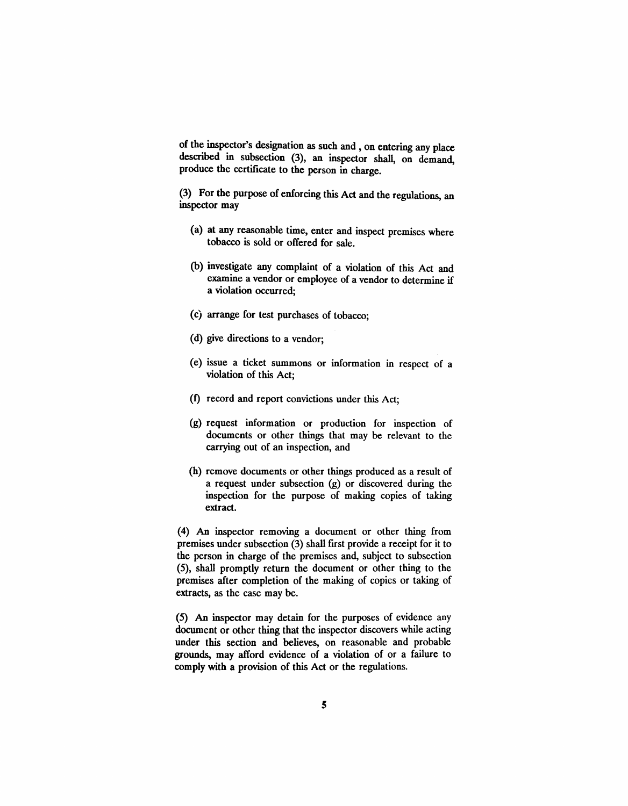of the inspector's designation as such and, on entering any place described in subsection (3), an inspector shall, on demand, produce the certificate to the person in charge.

(3) For the purpose of enforcing this Act and the regulations, an inspector may

- (a) at any reasonable time, enter and inspect premises where tobacco is sold or offered for sale.
- (b) investigate any complaint of a violation of this Act and examine a vendor or employee of a vendor to determine if a violation occurred;
- (c) arrange for test purchases of tobacco;
- (d) give directions to a vendor;
- (e) issue a ticket summons or information in respect of a violation of this Act;
- (f) record and report convictions under this Act:
- (g) request information or production for inspection of documents or other things that may be relevant to the carrying out of an inspection, and
- (h) remove documents or other things produced as a result of a request under subsection (g) or discovered during the inspection for the purpose of making copies of taking extract.

(4) An inspector removing a document or other thing from premises under subsection (3) shall frrst provide a receipt for it to the person in charge of the premises and, subject to subsection (5), shall promptly return the document or other thing to the premises after completion of the making of copies or taking of extracts, as the case may be.

(5) An inspector may detain for the purposes of evidence any document or other thing that the inspector discovers while acting under this section and believes, on reasonable and probable grounds, may afford evidence of a violation of or a failure to comply with a provision of this Act or the regulations.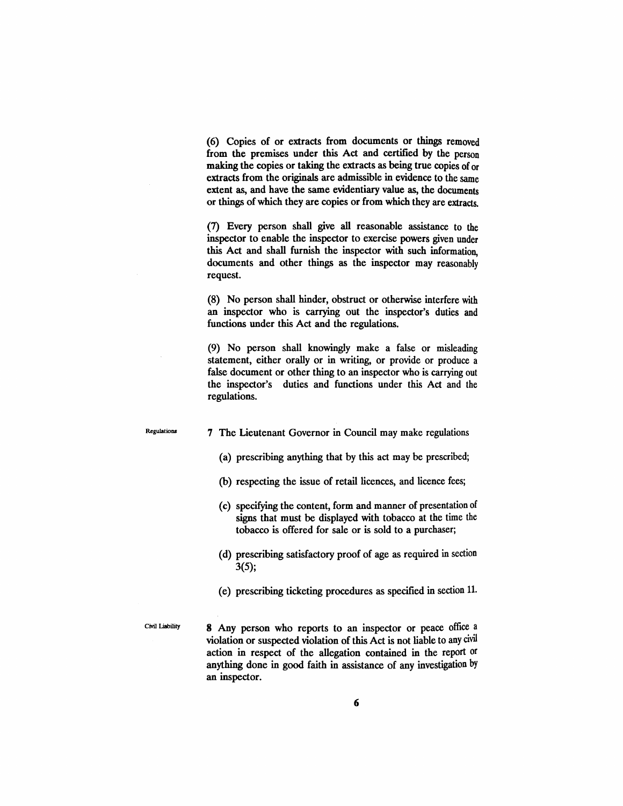(6) Copies of or extracts from documents or things removed from the premises under this Act and certified by the person making the copies or taking the extracts as being true copies of or extracts from the originals are admissible in evidence to the same extent as, and have the same evidentiary value as, the documents or things of which they are copies or from which they are extracts.

(7) Every person shall give all reasonable assistance to the inspector to enable the inspector to exercise powers given under this Act and shall furnish the inspector with such information, documents and other things as the inspector may reasonably request.

(8) No person shall hinder, obstruct or otherwise interfere with an inspector who is carrying out the inspector's duties and functions under this Act and the regulations.

(9) No person shall knowingly make a false or misleading statement, either orally or in writing, or provide or produce a false document or other thing to an inspector who is carrying out the inspector's duties and functions under this Act and the regulations.

Regulations

7 The Lieutenant Governor in Council may make regulations

- (a) prescribing anything that by this act may be prescribed;
- (b) respecting the issue of retail licences, and licence fees;
- (c) specifying the content, form and manner of presentation of signs that must be displayed with tobacco at the time the tobacco is offered for sale or is sold to a purchaser;
- (d) prescribing satisfactory proof of age as required in section 3(5);
- (e) prescribing ticketing procedures as specified in section 11.

Civil Liability

8 Any person who reports to an inspector or peace office a violation or suspected violation of this Act is not liable to any civil action in respect of the allegation contained in the report or anything done in good faith in assistance of any investigation by an inspector.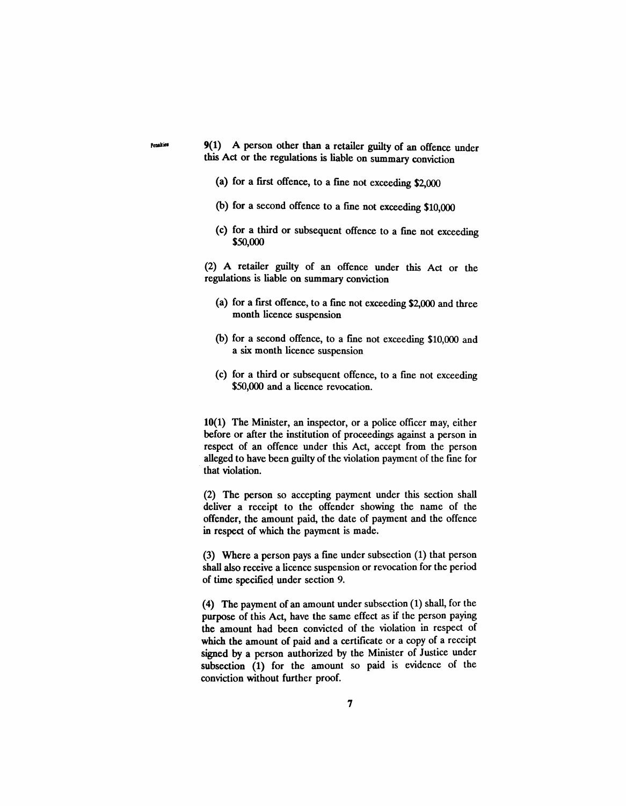Peadlies 9(1) A person other than a retailer guilty of an offence under this Act or the regulations is liable on summary conviction

- (a) for a first offence, to a fme not exceeding \$2,000
- (b) for a second offence to a fine not exceeding \$10,000
- (c) for a third or subsequent offence to a fine not exceeding \$SO,OOO

(2) A retailer guilty of an offence under this Act or the regulations is liable on summary conviction

- (a) for a frrst offence, to a fme not exceeding \$2,000 and three month licence suspension
- (b) for a second offence, to a fme not exceeding \$10,000 and a six month licence suspension
- (c) for a third or subsequent offence, to a fme not exceeding \$50,000 and a licence revocation.

10(1) The Minister, an inspector, or a police officer may, either before or after the institution of proceedings against a person in respect of an offence under this Act, accept from the person alleged to have been guilty of the violation payment of the fme for that violation.

(2) The person so accepting payment under this section shall deliver a receipt to the offender showing the name of the offender, the amount paid, the date of payment and the offence in respect of which the payment is made.

(3) Where a person pays a fme under subsection (1) that person shall also receive a licence suspension or revocation for the period of time specified under section 9.

(4) The payment of an amount under subsection (1) shall, for the purpose of this Act, have the same effect as if the person paying the amount had been convicted of the violation in respect of which the amount of paid and a certificate or a copy of a receipt signed by a person authorized by the Minister of Justice under subsection (1) for the amount so paid is evidence of the conviction without further proof.